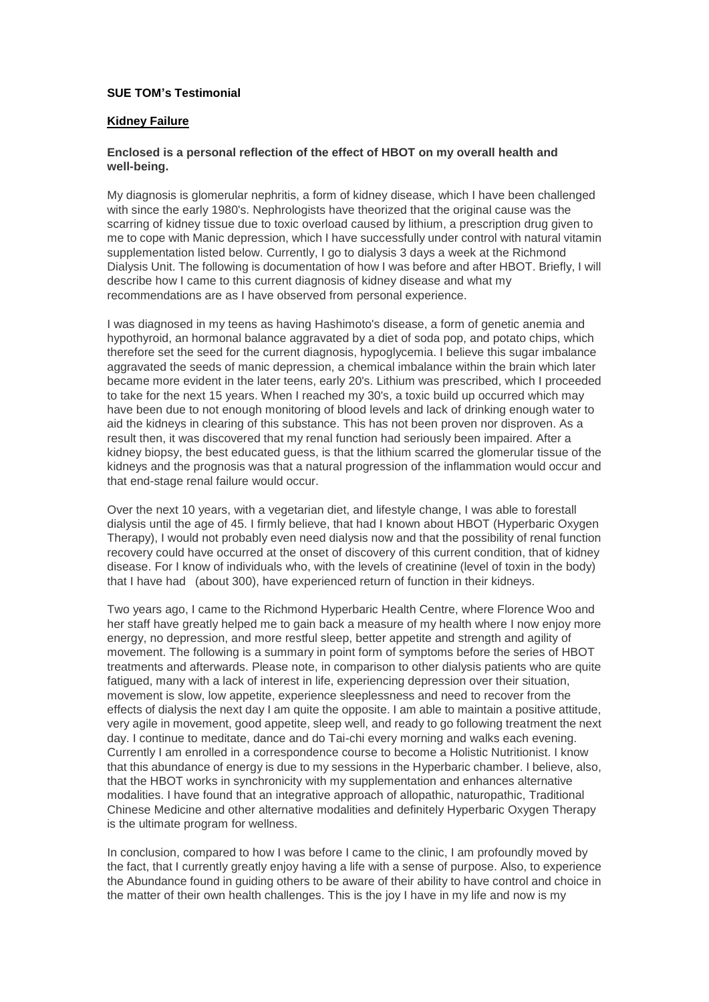# **SUE TOM's Testimonial**

### **Kidney Failure**

## **Enclosed is a personal reflection of the effect of HBOT on my overall health and well-being.**

My diagnosis is glomerular nephritis, a form of kidney disease, which I have been challenged with since the early 1980's. Nephrologists have theorized that the original cause was the scarring of kidney tissue due to toxic overload caused by lithium, a prescription drug given to me to cope with Manic depression, which I have successfully under control with natural vitamin supplementation listed below. Currently, I go to dialysis 3 days a week at the Richmond Dialysis Unit. The following is documentation of how I was before and after HBOT. Briefly, I will describe how I came to this current diagnosis of kidney disease and what my recommendations are as I have observed from personal experience.

I was diagnosed in my teens as having Hashimoto's disease, a form of genetic anemia and hypothyroid, an hormonal balance aggravated by a diet of soda pop, and potato chips, which therefore set the seed for the current diagnosis, hypoglycemia. I believe this sugar imbalance aggravated the seeds of manic depression, a chemical imbalance within the brain which later became more evident in the later teens, early 20's. Lithium was prescribed, which I proceeded to take for the next 15 years. When I reached my 30's, a toxic build up occurred which may have been due to not enough monitoring of blood levels and lack of drinking enough water to aid the kidneys in clearing of this substance. This has not been proven nor disproven. As a result then, it was discovered that my renal function had seriously been impaired. After a kidney biopsy, the best educated guess, is that the lithium scarred the glomerular tissue of the kidneys and the prognosis was that a natural progression of the inflammation would occur and that end-stage renal failure would occur.

Over the next 10 years, with a vegetarian diet, and lifestyle change, I was able to forestall dialysis until the age of 45. I firmly believe, that had I known about HBOT (Hyperbaric Oxygen Therapy), I would not probably even need dialysis now and that the possibility of renal function recovery could have occurred at the onset of discovery of this current condition, that of kidney disease. For I know of individuals who, with the levels of creatinine (level of toxin in the body) that I have had (about 300), have experienced return of function in their kidneys.

Two years ago, I came to the Richmond Hyperbaric Health Centre, where Florence Woo and her staff have greatly helped me to gain back a measure of my health where I now enjoy more energy, no depression, and more restful sleep, better appetite and strength and agility of movement. The following is a summary in point form of symptoms before the series of HBOT treatments and afterwards. Please note, in comparison to other dialysis patients who are quite fatigued, many with a lack of interest in life, experiencing depression over their situation, movement is slow, low appetite, experience sleeplessness and need to recover from the effects of dialysis the next day I am quite the opposite. I am able to maintain a positive attitude, very agile in movement, good appetite, sleep well, and ready to go following treatment the next day. I continue to meditate, dance and do Tai-chi every morning and walks each evening. Currently I am enrolled in a correspondence course to become a Holistic Nutritionist. I know that this abundance of energy is due to my sessions in the Hyperbaric chamber. I believe, also, that the HBOT works in synchronicity with my supplementation and enhances alternative modalities. I have found that an integrative approach of allopathic, naturopathic, Traditional Chinese Medicine and other alternative modalities and definitely Hyperbaric Oxygen Therapy is the ultimate program for wellness.

In conclusion, compared to how I was before I came to the clinic, I am profoundly moved by the fact, that I currently greatly enjoy having a life with a sense of purpose. Also, to experience the Abundance found in guiding others to be aware of their ability to have control and choice in the matter of their own health challenges. This is the joy I have in my life and now is my